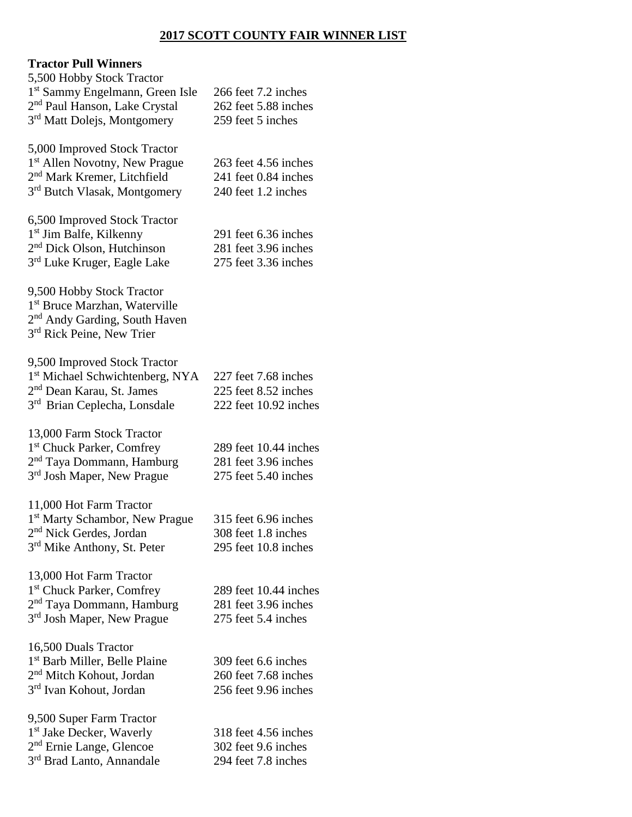# **2017 SCOTT COUNTY FAIR WINNER LIST**

# **Tractor Pull Winners**

| 5,500 Hobby Stock Tractor                   |                       |
|---------------------------------------------|-----------------------|
| 1 <sup>st</sup> Sammy Engelmann, Green Isle | 266 feet 7.2 inches   |
| 2 <sup>nd</sup> Paul Hanson, Lake Crystal   | 262 feet 5.88 inches  |
| 3 <sup>rd</sup> Matt Dolejs, Montgomery     | 259 feet 5 inches     |
|                                             |                       |
| 5,000 Improved Stock Tractor                |                       |
| 1 <sup>st</sup> Allen Novotny, New Prague   | 263 feet 4.56 inches  |
| 2 <sup>nd</sup> Mark Kremer, Litchfield     | 241 feet 0.84 inches  |
| 3 <sup>rd</sup> Butch Vlasak, Montgomery    | 240 feet 1.2 inches   |
| 6,500 Improved Stock Tractor                |                       |
| 1 <sup>st</sup> Jim Balfe, Kilkenny         | 291 feet 6.36 inches  |
| 2 <sup>nd</sup> Dick Olson, Hutchinson      | 281 feet 3.96 inches  |
| 3 <sup>rd</sup> Luke Kruger, Eagle Lake     | 275 feet 3.36 inches  |
|                                             |                       |
| 9,500 Hobby Stock Tractor                   |                       |
| 1 <sup>st</sup> Bruce Marzhan, Waterville   |                       |
| 2 <sup>nd</sup> Andy Garding, South Haven   |                       |
| 3rd Rick Peine, New Trier                   |                       |
|                                             |                       |
| 9,500 Improved Stock Tractor                |                       |
| 1st Michael Schwichtenberg, NYA             | 227 feet 7.68 inches  |
| 2 <sup>nd</sup> Dean Karau, St. James       | 225 feet 8.52 inches  |
| 3rd Brian Ceplecha, Lonsdale                | 222 feet 10.92 inches |
| 13,000 Farm Stock Tractor                   |                       |
| 1 <sup>st</sup> Chuck Parker, Comfrey       | 289 feet 10.44 inches |
| 2 <sup>nd</sup> Taya Dommann, Hamburg       | 281 feet 3.96 inches  |
| 3 <sup>rd</sup> Josh Maper, New Prague      | 275 feet 5.40 inches  |
|                                             |                       |
| 11,000 Hot Farm Tractor                     |                       |
| 1 <sup>st</sup> Marty Schambor, New Prague  | 315 feet 6.96 inches  |
| 2 <sup>nd</sup> Nick Gerdes, Jordan         | 308 feet 1.8 inches   |
| 3rd Mike Anthony, St. Peter                 | 295 feet 10.8 inches  |
|                                             |                       |
| 13,000 Hot Farm Tractor                     |                       |
| 1 <sup>st</sup> Chuck Parker, Comfrey       | 289 feet 10.44 inches |
| 2 <sup>nd</sup> Taya Dommann, Hamburg       | 281 feet 3.96 inches  |
| 3 <sup>rd</sup> Josh Maper, New Prague      | 275 feet 5.4 inches   |
| 16,500 Duals Tractor                        |                       |
| 1 <sup>st</sup> Barb Miller, Belle Plaine   | 309 feet 6.6 inches   |
| 2 <sup>nd</sup> Mitch Kohout, Jordan        | 260 feet 7.68 inches  |
| 3 <sup>rd</sup> Ivan Kohout, Jordan         | 256 feet 9.96 inches  |
|                                             |                       |
| 9,500 Super Farm Tractor                    |                       |
| 1 <sup>st</sup> Jake Decker, Waverly        | 318 feet 4.56 inches  |
| 2 <sup>nd</sup> Ernie Lange, Glencoe        | 302 feet 9.6 inches   |
| 3rd Brad Lanto, Annandale                   | 294 feet 7.8 inches   |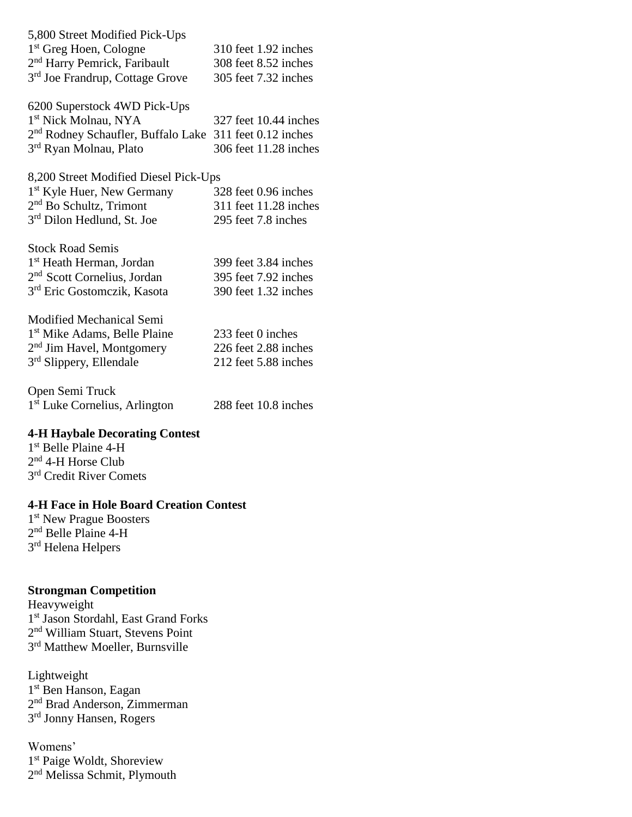| 5,800 Street Modified Pick-Ups              |                      |
|---------------------------------------------|----------------------|
| 1 <sup>st</sup> Greg Hoen, Cologne          | 310 feet 1.92 inches |
| 2 <sup>nd</sup> Harry Pemrick, Faribault    | 308 feet 8.52 inches |
| 3 <sup>rd</sup> Joe Frandrup, Cottage Grove | 305 feet 7.32 inches |

6200 Superstock 4WD Pick-Ups 1 st Nick Molnau, NYA 327 feet 10.44 inches 2<sup>nd</sup> Rodney Schaufler, Buffalo Lake 311 feet 0.12 inches 3<sup>rd</sup> Ryan Molnau, Plato 306 feet 11.28 inches

8,200 Street Modified Diesel Pick-Ups

| 1 <sup>st</sup> Kyle Huer, New Germany | 328 feet 0.96 inches  |
|----------------------------------------|-----------------------|
| $2nd$ Bo Schultz, Trimont              | 311 feet 11.28 inches |
| 3 <sup>rd</sup> Dilon Hedlund, St. Joe | 295 feet 7.8 inches   |

| <b>Stock Road Semis</b>                 |                      |
|-----------------------------------------|----------------------|
| 1 <sup>st</sup> Heath Herman, Jordan    | 399 feet 3.84 inches |
| 2 <sup>nd</sup> Scott Cornelius, Jordan | 395 feet 7.92 inches |
| 3 <sup>rd</sup> Eric Gostomczik, Kasota | 390 feet 1.32 inches |

| 233 feet 0 inches    |
|----------------------|
| 226 feet 2.88 inches |
| 212 feet 5.88 inches |
|                      |

Open Semi Truck 1 st Luke Cornelius, Arlington 288 feet 10.8 inches

#### **4-H Haybale Decorating Contest**

1 st Belle Plaine 4-H 2<sup>nd</sup> 4-H Horse Club 3<sup>rd</sup> Credit River Comets

### **4-H Face in Hole Board Creation Contest**

1<sup>st</sup> New Prague Boosters 2<sup>nd</sup> Belle Plaine 4-H 3<sup>rd</sup> Helena Helpers

### **Strongman Competition**

Heavyweight 1 st Jason Stordahl, East Grand Forks 2<sup>nd</sup> William Stuart, Stevens Point 3<sup>rd</sup> Matthew Moeller, Burnsville

Lightweight 1<sup>st</sup> Ben Hanson, Eagan 2<sup>nd</sup> Brad Anderson, Zimmerman 3<sup>rd</sup> Jonny Hansen, Rogers

Womens' 1 st Paige Woldt, Shoreview 2<sup>nd</sup> Melissa Schmit, Plymouth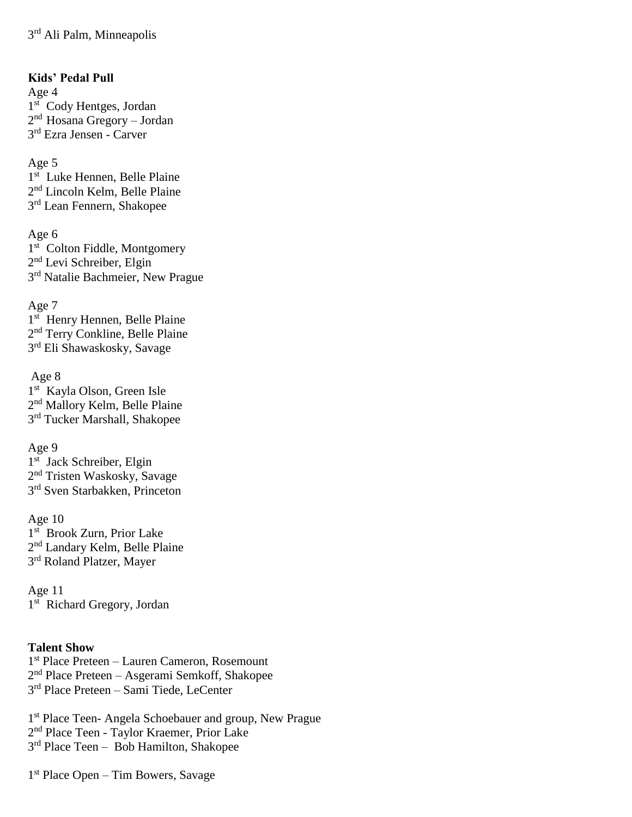**Kids' Pedal Pull** Age 4 1st Cody Hentges, Jordan 2<sup>nd</sup> Hosana Gregory – Jordan 3 rd Ezra Jensen - Carver

Age 5 1<sup>st</sup> Luke Hennen, Belle Plaine 2<sup>nd</sup> Lincoln Kelm, Belle Plaine 3<sup>rd</sup> Lean Fennern, Shakopee

Age 6 1<sup>st</sup> Colton Fiddle, Montgomery 2<sup>nd</sup> Levi Schreiber, Elgin 3<sup>rd</sup> Natalie Bachmeier, New Prague

Age 7 1<sup>st</sup> Henry Hennen, Belle Plaine 2<sup>nd</sup> Terry Conkline, Belle Plaine 3<sup>rd</sup> Eli Shawaskosky, Savage

Age 8 1 st Kayla Olson, Green Isle 2<sup>nd</sup> Mallory Kelm, Belle Plaine 3<sup>rd</sup> Tucker Marshall, Shakopee

Age 9 1<sup>st</sup> Jack Schreiber, Elgin 2<sup>nd</sup> Tristen Waskosky, Savage 3<sup>rd</sup> Sven Starbakken, Princeton

Age 10 1 st Brook Zurn, Prior Lake 2<sup>nd</sup> Landary Kelm, Belle Plaine 3<sup>rd</sup> Roland Platzer, Mayer

Age 11 1<sup>st</sup> Richard Gregory, Jordan

### **Talent Show**

1 st Place Preteen – Lauren Cameron, Rosemount 2 nd Place Preteen – Asgerami Semkoff, Shakopee 3 rd Place Preteen – Sami Tiede, LeCenter

1<sup>st</sup> Place Teen- Angela Schoebauer and group, New Prague 2<sup>nd</sup> Place Teen - Taylor Kraemer, Prior Lake 3<sup>rd</sup> Place Teen - Bob Hamilton, Shakopee

1 st Place Open – Tim Bowers, Savage